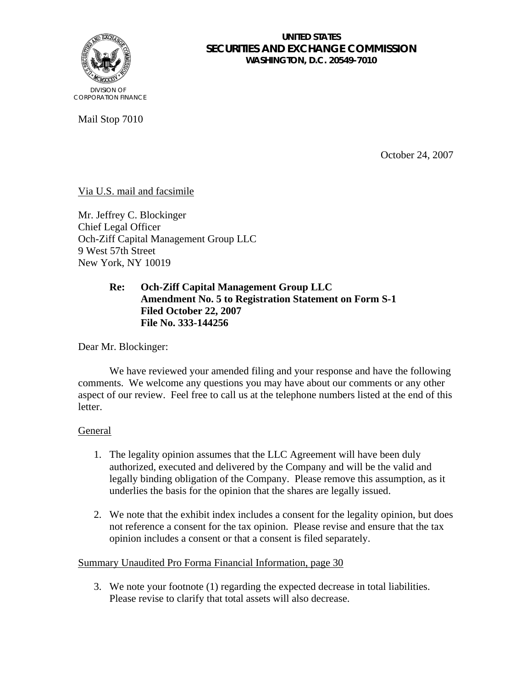

#### **UNITED STATES SECURITIES AND EXCHANGE COMMISSION WASHINGTON, D.C. 20549-7010**

Mail Stop 7010

October 24, 2007

# Via U.S. mail and facsimile

Mr. Jeffrey C. Blockinger Chief Legal Officer Och-Ziff Capital Management Group LLC 9 West 57th Street New York, NY 10019

### **Re: Och-Ziff Capital Management Group LLC Amendment No. 5 to Registration Statement on Form S-1 Filed October 22, 2007 File No. 333-144256**

Dear Mr. Blockinger:

We have reviewed your amended filing and your response and have the following comments. We welcome any questions you may have about our comments or any other aspect of our review. Feel free to call us at the telephone numbers listed at the end of this letter.

# **General**

- 1. The legality opinion assumes that the LLC Agreement will have been duly authorized, executed and delivered by the Company and will be the valid and legally binding obligation of the Company. Please remove this assumption, as it underlies the basis for the opinion that the shares are legally issued.
- 2. We note that the exhibit index includes a consent for the legality opinion, but does not reference a consent for the tax opinion. Please revise and ensure that the tax opinion includes a consent or that a consent is filed separately.

# Summary Unaudited Pro Forma Financial Information, page 30

3. We note your footnote (1) regarding the expected decrease in total liabilities. Please revise to clarify that total assets will also decrease.